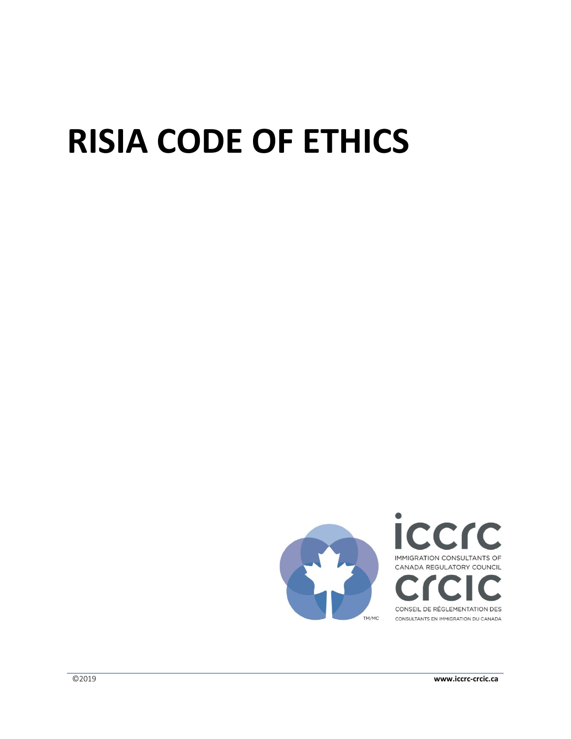# **RISIA CODE OF ETHICS**

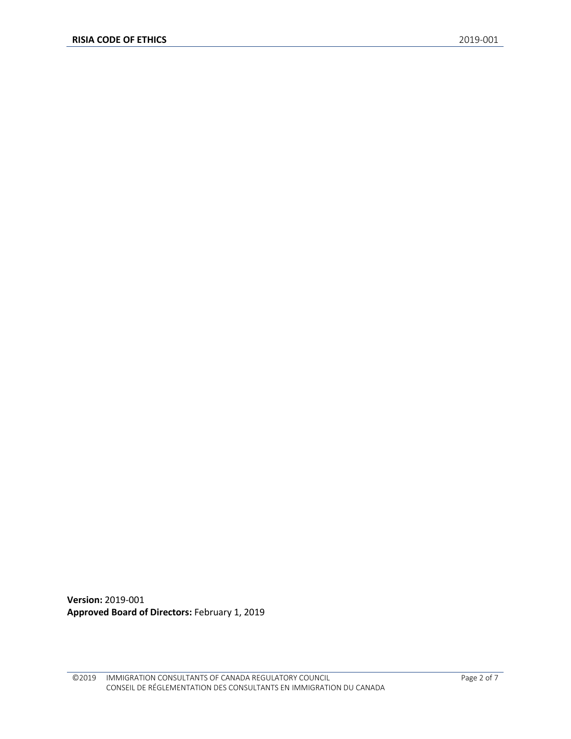**Version:** 2019-001 **Approved Board of Directors:** February 1, 2019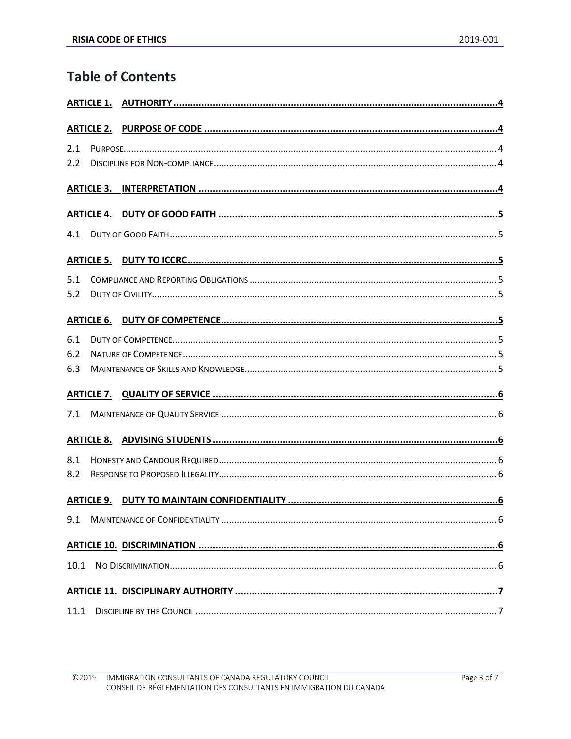# **Table of Contents**

| 2.1  |                   |  |
|------|-------------------|--|
| 2.2  |                   |  |
|      |                   |  |
|      |                   |  |
| 4.1  |                   |  |
|      |                   |  |
| 5.1  |                   |  |
| 5.2  |                   |  |
|      | <b>ARTICLE 6.</b> |  |
| 6.1  |                   |  |
| 6.2  |                   |  |
| 6.3  |                   |  |
|      |                   |  |
| 7.1  |                   |  |
|      |                   |  |
| 8.1  |                   |  |
| 8.2  |                   |  |
|      |                   |  |
| 9.1  |                   |  |
|      |                   |  |
| 10.1 |                   |  |
|      |                   |  |
| 11.1 |                   |  |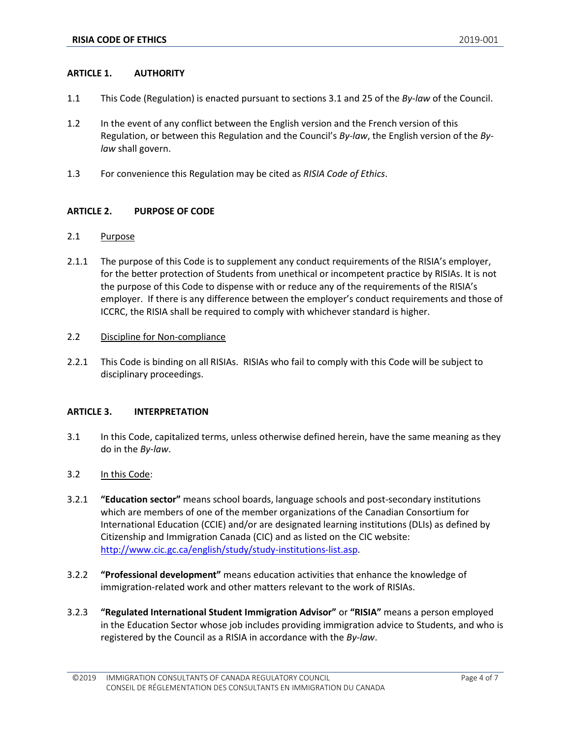# <span id="page-3-0"></span>**ARTICLE 1. AUTHORITY**

- 1.1 This Code (Regulation) is enacted pursuant to sections 3.1 and 25 of the *By-law* of the Council.
- 1.2 In the event of any conflict between the English version and the French version of this Regulation, or between this Regulation and the Council's *By-law*, the English version of the *Bylaw* shall govern.
- 1.3 For convenience this Regulation may be cited as *RISIA Code of Ethics*.

# <span id="page-3-1"></span>**ARTICLE 2. PURPOSE OF CODE**

# <span id="page-3-2"></span>2.1 Purpose

2.1.1 The purpose of this Code is to supplement any conduct requirements of the RISIA's employer, for the better protection of Students from unethical or incompetent practice by RISIAs. It is not the purpose of this Code to dispense with or reduce any of the requirements of the RISIA's employer. If there is any difference between the employer's conduct requirements and those of ICCRC, the RISIA shall be required to comply with whichever standard is higher.

#### <span id="page-3-3"></span>2.2 Discipline for Non-compliance

2.2.1 This Code is binding on all RISIAs. RISIAs who fail to comply with this Code will be subject to disciplinary proceedings.

#### <span id="page-3-4"></span>**ARTICLE 3. INTERPRETATION**

- 3.1 In this Code, capitalized terms, unless otherwise defined herein, have the same meaning as they do in the *By-law*.
- 3.2 In this Code:
- 3.2.1 **"Education sector"** means school boards, language schools and post-secondary institutions which are members of one of the member organizations of the Canadian Consortium for International Education (CCIE) and/or are designated learning institutions (DLIs) as defined by Citizenship and Immigration Canada (CIC) and as listed on the CIC website: [http://www.cic.gc.ca/english/study/study-institutions-list.asp.](http://www.cic.gc.ca/english/study/study-institutions-list.asp)
- 3.2.2 **"Professional development"** means education activities that enhance the knowledge of immigration-related work and other matters relevant to the work of RISIAs.
- 3.2.3 **"Regulated International Student Immigration Advisor"** or **"RISIA"** means a person employed in the Education Sector whose job includes providing immigration advice to Students, and who is registered by the Council as a RISIA in accordance with the *By-law*.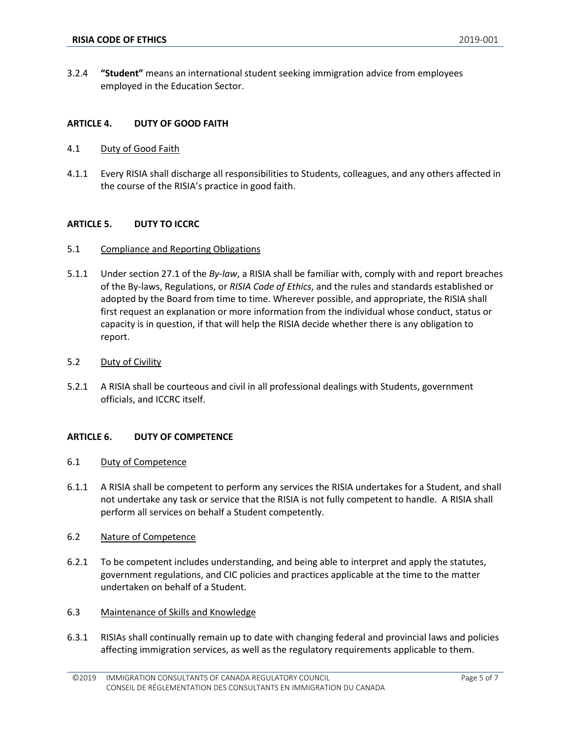3.2.4 **"Student"** means an international student seeking immigration advice from employees employed in the Education Sector.

### <span id="page-4-0"></span>**ARTICLE 4. DUTY OF GOOD FAITH**

- <span id="page-4-1"></span>4.1 Duty of Good Faith
- 4.1.1 Every RISIA shall discharge all responsibilities to Students, colleagues, and any others affected in the course of the RISIA's practice in good faith.

#### <span id="page-4-2"></span>**ARTICLE 5. DUTY TO ICCRC**

- <span id="page-4-3"></span>5.1 Compliance and Reporting Obligations
- 5.1.1 Under section 27.1 of the *By-law*, a RISIA shall be familiar with, comply with and report breaches of the By-laws, Regulations, or *RISIA Code of Ethics*, and the rules and standards established or adopted by the Board from time to time. Wherever possible, and appropriate, the RISIA shall first request an explanation or more information from the individual whose conduct, status or capacity is in question, if that will help the RISIA decide whether there is any obligation to report.
- <span id="page-4-4"></span>5.2 Duty of Civility
- 5.2.1 A RISIA shall be courteous and civil in all professional dealings with Students, government officials, and ICCRC itself.

#### <span id="page-4-5"></span>**ARTICLE 6. DUTY OF COMPETENCE**

- <span id="page-4-6"></span>6.1 Duty of Competence
- 6.1.1 A RISIA shall be competent to perform any services the RISIA undertakes for a Student, and shall not undertake any task or service that the RISIA is not fully competent to handle. A RISIA shall perform all services on behalf a Student competently.
- <span id="page-4-7"></span>6.2 Nature of Competence
- 6.2.1 To be competent includes understanding, and being able to interpret and apply the statutes, government regulations, and CIC policies and practices applicable at the time to the matter undertaken on behalf of a Student.
- <span id="page-4-8"></span>6.3 Maintenance of Skills and Knowledge
- 6.3.1 RISIAs shall continually remain up to date with changing federal and provincial laws and policies affecting immigration services, as well as the regulatory requirements applicable to them.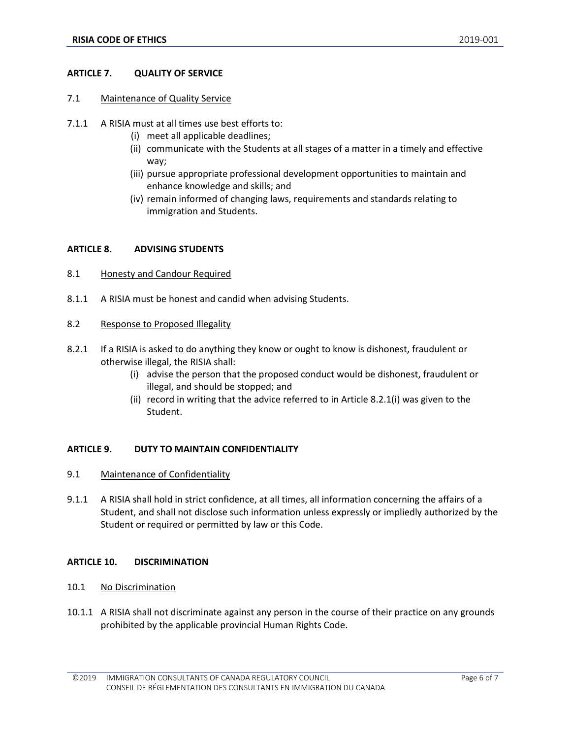### <span id="page-5-0"></span>**ARTICLE 7. QUALITY OF SERVICE**

- <span id="page-5-1"></span>7.1 Maintenance of Quality Service
- 7.1.1 A RISIA must at all times use best efforts to:
	- (i) meet all applicable deadlines;
	- (ii) communicate with the Students at all stages of a matter in a timely and effective way;
	- (iii) pursue appropriate professional development opportunities to maintain and enhance knowledge and skills; and
	- (iv) remain informed of changing laws, requirements and standards relating to immigration and Students.

# <span id="page-5-2"></span>**ARTICLE 8. ADVISING STUDENTS**

- <span id="page-5-3"></span>8.1 Honesty and Candour Required
- 8.1.1 A RISIA must be honest and candid when advising Students.
- <span id="page-5-4"></span>8.2 Response to Proposed Illegality
- 8.2.1 If a RISIA is asked to do anything they know or ought to know is dishonest, fraudulent or otherwise illegal, the RISIA shall:
	- (i) advise the person that the proposed conduct would be dishonest, fraudulent or illegal, and should be stopped; and
	- (ii) record in writing that the advice referred to in Article 8.2.1(i) was given to the Student.

#### <span id="page-5-5"></span>**ARTICLE 9. DUTY TO MAINTAIN CONFIDENTIALITY**

- <span id="page-5-6"></span>9.1 Maintenance of Confidentiality
- 9.1.1 A RISIA shall hold in strict confidence, at all times, all information concerning the affairs of a Student, and shall not disclose such information unless expressly or impliedly authorized by the Student or required or permitted by law or this Code.

#### <span id="page-5-7"></span>**ARTICLE 10. DISCRIMINATION**

- <span id="page-5-8"></span>10.1 No Discrimination
- 10.1.1 A RISIA shall not discriminate against any person in the course of their practice on any grounds prohibited by the applicable provincial Human Rights Code.